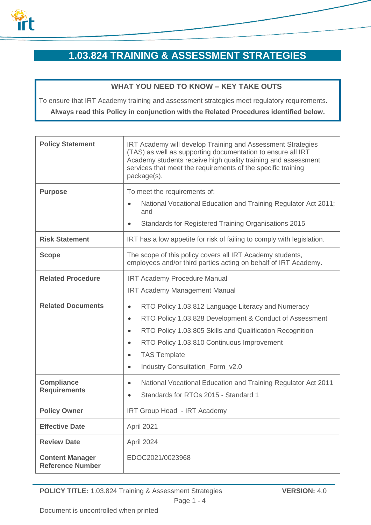

# **1.03.824 TRAINING & ASSESSMENT STRATEGIES**

## **WHAT YOU NEED TO KNOW – KEY TAKE OUTS**

To ensure that IRT Academy training and assessment strategies meet regulatory requirements.

**Always read this Policy in conjunction with the Related Procedures identified below.**

| <b>Policy Statement</b>                           | IRT Academy will develop Training and Assessment Strategies<br>(TAS) as well as supporting documentation to ensure all IRT<br>Academy students receive high quality training and assessment<br>services that meet the requirements of the specific training<br>package(s). |
|---------------------------------------------------|----------------------------------------------------------------------------------------------------------------------------------------------------------------------------------------------------------------------------------------------------------------------------|
| <b>Purpose</b>                                    | To meet the requirements of:                                                                                                                                                                                                                                               |
|                                                   | National Vocational Education and Training Regulator Act 2011;<br>and                                                                                                                                                                                                      |
|                                                   | Standards for Registered Training Organisations 2015                                                                                                                                                                                                                       |
| <b>Risk Statement</b>                             | IRT has a low appetite for risk of failing to comply with legislation.                                                                                                                                                                                                     |
| <b>Scope</b>                                      | The scope of this policy covers all IRT Academy students,<br>employees and/or third parties acting on behalf of IRT Academy.                                                                                                                                               |
| <b>Related Procedure</b>                          | <b>IRT Academy Procedure Manual</b>                                                                                                                                                                                                                                        |
|                                                   | <b>IRT Academy Management Manual</b>                                                                                                                                                                                                                                       |
| <b>Related Documents</b>                          | RTO Policy 1.03.812 Language Literacy and Numeracy<br>$\bullet$                                                                                                                                                                                                            |
|                                                   | RTO Policy 1.03.828 Development & Conduct of Assessment<br>$\bullet$                                                                                                                                                                                                       |
|                                                   | RTO Policy 1.03.805 Skills and Qualification Recognition<br>$\bullet$                                                                                                                                                                                                      |
|                                                   | RTO Policy 1.03.810 Continuous Improvement<br>$\bullet$                                                                                                                                                                                                                    |
|                                                   | <b>TAS Template</b>                                                                                                                                                                                                                                                        |
|                                                   | Industry Consultation_Form_v2.0<br>$\bullet$                                                                                                                                                                                                                               |
| <b>Compliance</b><br><b>Requirements</b>          | National Vocational Education and Training Regulator Act 2011<br>$\bullet$<br>Standards for RTOs 2015 - Standard 1                                                                                                                                                         |
| <b>Policy Owner</b>                               | <b>IRT Group Head - IRT Academy</b>                                                                                                                                                                                                                                        |
| <b>Effective Date</b>                             | April 2021                                                                                                                                                                                                                                                                 |
| <b>Review Date</b>                                | April 2024                                                                                                                                                                                                                                                                 |
| <b>Content Manager</b><br><b>Reference Number</b> | EDOC2021/0023968                                                                                                                                                                                                                                                           |

**POLICY TITLE:** 1.03.824 Training & Assessment Strategies **VERSION:** 4.0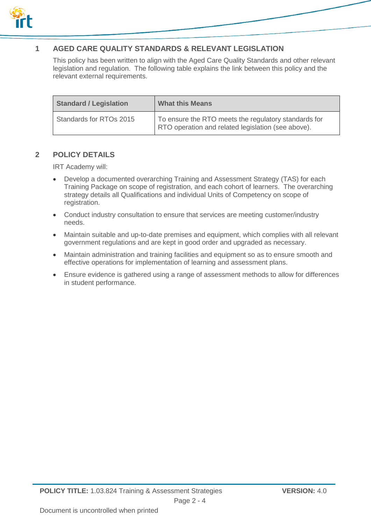

## **1 AGED CARE QUALITY STANDARDS & RELEVANT LEGISLATION**

This policy has been written to align with the Aged Care Quality Standards and other relevant legislation and regulation. The following table explains the link between this policy and the relevant external requirements.

| <b>Standard / Legislation</b> | <b>What this Means</b>                                                                                     |
|-------------------------------|------------------------------------------------------------------------------------------------------------|
| Standards for RTOs 2015       | To ensure the RTO meets the regulatory standards for<br>RTO operation and related legislation (see above). |

#### **2 POLICY DETAILS**

IRT Academy will:

- Develop a documented overarching Training and Assessment Strategy (TAS) for each Training Package on scope of registration, and each cohort of learners. The overarching strategy details all Qualifications and individual Units of Competency on scope of registration.
- Conduct industry consultation to ensure that services are meeting customer/industry needs.
- Maintain suitable and up-to-date premises and equipment, which complies with all relevant government regulations and are kept in good order and upgraded as necessary.
- Maintain administration and training facilities and equipment so as to ensure smooth and effective operations for implementation of learning and assessment plans.
- Ensure evidence is gathered using a range of assessment methods to allow for differences in student performance.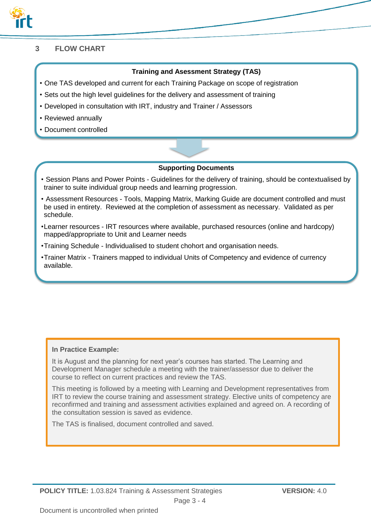

## **3 FLOW CHART**

#### **Training and Asessment Strategy (TAS)**

- One TAS developed and current for each Training Package on scope of registration
- Sets out the high level guidelines for the delivery and assessment of training
- Developed in consultation with IRT, industry and Trainer / Assessors
- Reviewed annually
- Document controlled

#### **Supporting Documents**

- Session Plans and Power Points Guidelines for the delivery of training, should be contextualised by trainer to suite individual group needs and learning progression.
- Assessment Resources Tools, Mapping Matrix, Marking Guide are document controlled and must be used in entirety. Reviewed at the completion of assessment as necessary. Validated as per schedule.
- •Learner resources IRT resources where available, purchased resources (online and hardcopy) mapped/appropriate to Unit and Learner needs
- •Training Schedule Individualised to student chohort and organisation needs.
- •Trainer Matrix Trainers mapped to individual Units of Competency and evidence of currency available.

#### **In Practice Example:**

It is August and the planning for next year's courses has started. The Learning and Development Manager schedule a meeting with the trainer/assessor due to deliver the course to reflect on current practices and review the TAS.

This meeting is followed by a meeting with Learning and Development representatives from IRT to review the course training and assessment strategy. Elective units of competency are reconfirmed and training and assessment activities explained and agreed on. A recording of the consultation session is saved as evidence.

The TAS is finalised, document controlled and saved.